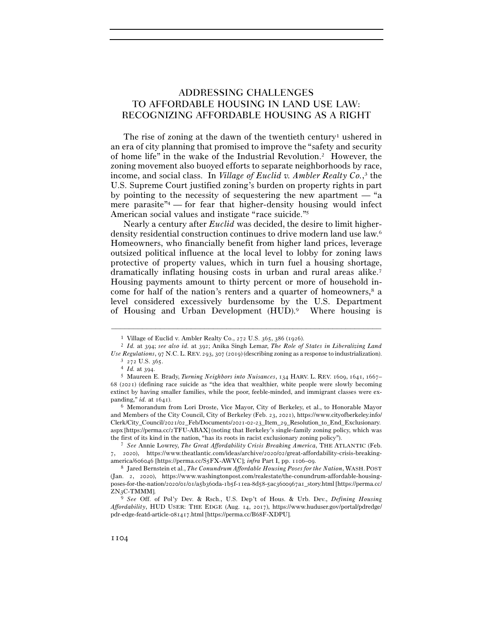# ADDRESSING CHALLENGES TO AFFORDABLE HOUSING IN LAND USE LAW: RECOGNIZING AFFORDABLE HOUSING AS A RIGHT

The rise of zoning at the dawn of the twentieth century<sup>1</sup> ushered in an era of city planning that promised to improve the "safety and security of home life" in the wake of the Industrial Revolution.2 However, the zoning movement also buoyed efforts to separate neighborhoods by race, income, and social class. In *Village of Euclid v. Ambler Realty Co.*, 3 the U.S. Supreme Court justified zoning's burden on property rights in part by pointing to the necessity of sequestering the new apartment — "a mere parasite<sup> $n_4$ </sup> — for fear that higher-density housing would infect American social values and instigate "race suicide."5

Nearly a century after *Euclid* was decided, the desire to limit higherdensity residential construction continues to drive modern land use law.6 Homeowners, who financially benefit from higher land prices, leverage outsized political influence at the local level to lobby for zoning laws protective of property values, which in turn fuel a housing shortage, dramatically inflating housing costs in urban and rural areas alike.7 Housing payments amount to thirty percent or more of household income for half of the nation's renters and a quarter of homeowners,<sup>8</sup> a level considered excessively burdensome by the U.S. Department of Housing and Urban Development (HUD).9 Where housing is

–––––––––––––––––––––––––––––––––––––––––––––––––––––––––––––

and Members of the City Council, City of Berkeley (Feb. 23, 2021), https://www.cityofberkeley.info/ Clerk/City\_Council/2021/02\_Feb/Documents/2021-02-23\_Item\_29\_Resolution\_to\_End\_Exclusionary. aspx [https://perma.cc/2TFU-ABAX] (noting that Berkeley's single-family zoning policy, which was the first of its kind in the nation, "has its roots in racist exclusionary zoning policy"). 7 *See* Annie Lowrey, *The Great Affordability Crisis Breaking America*, THE ATLANTIC (Feb.

7, 2020), https://www.theatlantic.com/ideas/archive/2020/02/great-affordability-crisis-breakingamerica/606046 [https://perma.cc/S5FX-AWYC]; *infra* Part I, pp. 1106–<sup>09</sup>. 8 Jared Bernstein et al., *The Conundrum Affordable Housing Poses for the Nation*, WASH. POST

<sup>1</sup> Village of Euclid v. Ambler Realty Co., 272 U.S. 365, 386 (<sup>1926</sup>). 2 *Id.* at 394; *see also id.* at 392; Anika Singh Lemar, *The Role of States in Liberalizing Land*  Use Regulations, 97 N.C. L. REV. 293, 307 (2019) (describing zoning as a response to industrialization).<br>  $\frac{3}{272}$  U.S. 365.<br>  $\frac{4}{1}$  Id. at 394.<br>  $\frac{5}{1}$  Maureen E. Brady, *Turning Neighbors into Nuisances*, 134 H

<sup>68</sup> (2021) (defining race suicide as "the idea that wealthier, white people were slowly becoming extinct by having smaller families, while the poor, feeble-minded, and immigrant classes were expanding," *id.* at 1641).<br><sup>6</sup> Memorandum from Lori Droste, Vice Mayor, City of Berkeley, et al., to Honorable Mayor

<sup>(</sup>Jan. 2, 2020), https://www.washingtonpost.com/realestate/the-conundrum-affordable-housingposes-for-the-nation/2020/01/01/a5b360da-1b5f-11ea-8d58-5ac3600967a1\_story.html [https://perma.cc/ ZN3C-TMMM].

<sup>9</sup> *See* Off. of Pol'y Dev. & Rsch., U.S. Dep't of Hous. & Urb. Dev., *Defining Housing Affordability*, HUD USER: THE EDGE (Aug. 14, 2017), https://www.huduser.gov/portal/pdredge/ pdr-edge-featd-article-081417.html [https://perma.cc/B68F-XDPU].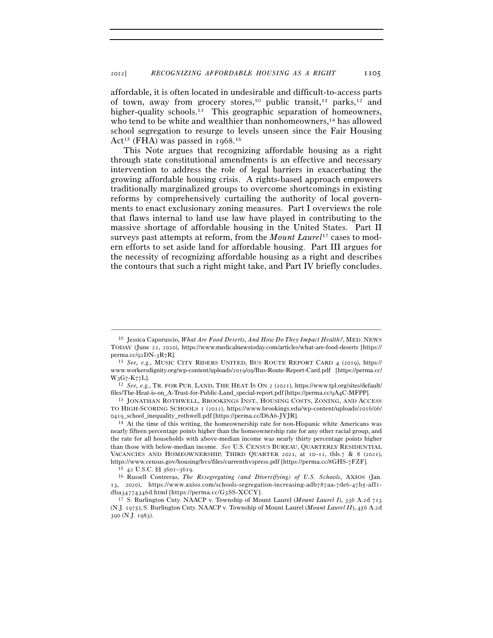affordable, it is often located in undesirable and difficult-to-access parts of town, away from grocery stores,<sup>10</sup> public transit,<sup>11</sup> parks,<sup>12</sup> and higher-quality schools.<sup>13</sup> This geographic separation of homeowners, who tend to be white and wealthier than nonhomeowners,<sup>14</sup> has allowed school segregation to resurge to levels unseen since the Fair Housing Act<sup>15</sup> (FHA) was passed in 1968.<sup>16</sup>

This Note argues that recognizing affordable housing as a right through state constitutional amendments is an effective and necessary intervention to address the role of legal barriers in exacerbating the growing affordable housing crisis. A rights-based approach empowers traditionally marginalized groups to overcome shortcomings in existing reforms by comprehensively curtailing the authority of local governments to enact exclusionary zoning measures. Part I overviews the role that flaws internal to land use law have played in contributing to the massive shortage of affordable housing in the United States. Part II surveys past attempts at reform, from the *Mount Laurel*17 cases to modern efforts to set aside land for affordable housing. Part III argues for the necessity of recognizing affordable housing as a right and describes the contours that such a right might take, and Part IV briefly concludes.

<sup>10</sup> Jessica Caporuscio, *What Are Food Deserts, And How Do They Impact Health?*, MED. NEWS TODAY (June 22, 2020), https://www.medicalnewstoday.com/articles/what-are-food-deserts [https://

perma.cc/92DN-3R<sup>7</sup>R]. 11 *See, e.g.*, MUSIC CITY RIDERS UNITED, BUS ROUTE REPORT CARD 4 (2019), https:// www.workersdignity.org/wp-content/uploads/2019/09/Bus-Route-Report-Card.pdf [https://perma.cc/ <sup>W</sup>3G7-K<sup>77</sup>L]. 12 *See, e.g.*, TR. FOR PUB. LAND, THE HEAT IS ON <sup>2</sup> (2021), https://www.tpl.org/sites/default/

files/The-Heat-is-on\_A-Trust-for-Public-Land\_special-report.pdf [https://perma.cc/9A<sup>4</sup>C-MFPP]. 13 JONATHAN ROTHWELL, BROOKINGS INST., HOUSING COSTS, ZONING, AND ACCESS

TO HIGH-SCORING SCHOOLS 1 (2012), https://www.brookings.edu/wp-content/uploads/2016/06/ <sup>0419</sup>\_school\_inequality\_rothwell.pdf [https://perma.cc/D6A<sup>6</sup>-JYJR]. 14 At the time of this writing, the homeownership rate for non-Hispanic white Americans was

nearly fifteen percentage points higher than the homeownership rate for any other racial group, and the rate for all households with above-median income was nearly thirty percentage points higher than those with below-median income. *See* U.S. CENSUS BUREAU, QUARTERLY RESIDENTIAL VACANCIES AND HOMEOWNERSHIP, THIRD QUARTER 2021, at  $10$ –11, tbls.7 & 8 (2021), https://www.census.gov/housing/hvs/files/currenthvspress.pdf [https://perma.cc/8GHS-<sup>7</sup>FZF]. 15 <sup>42</sup> U.S.C. §§ 3601–<sup>3619</sup>. 16 Russell Contreras, *The Resegregating (and Diversifying) of U.S. Schools*, AXIOS (Jan.

<sup>13</sup>, 2020), https://www.axios.com/schools-segregation-increasing-adb787aa-7de6-47b5-aff1 dba34774346d.html [https://perma.cc/G<sup>3</sup>SS-XCCY]. 17 S. Burlington Cnty. NAACP v. Township of Mount Laurel (*Mount Laurel I*), 336 A.2d <sup>713</sup>

<sup>(</sup>N.J. 1975); S. Burlington Cnty. NAACP v. Township of Mount Laurel (*Mount Laurel II*), 456 A.2d 390 (N.J. 1983).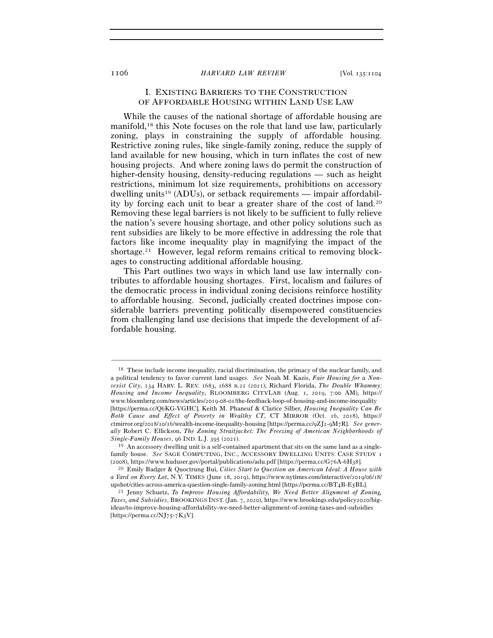# I. EXISTING BARRIERS TO THE CONSTRUCTION OF AFFORDABLE HOUSING WITHIN LAND USE LAW

While the causes of the national shortage of affordable housing are manifold,18 this Note focuses on the role that land use law, particularly zoning, plays in constraining the supply of affordable housing. Restrictive zoning rules, like single-family zoning, reduce the supply of land available for new housing, which in turn inflates the cost of new housing projects. And where zoning laws do permit the construction of higher-density housing, density-reducing regulations — such as height restrictions, minimum lot size requirements, prohibitions on accessory dwelling units<sup>19</sup> (ADUs), or setback requirements — impair affordability by forcing each unit to bear a greater share of the cost of land.20 Removing these legal barriers is not likely to be sufficient to fully relieve the nation's severe housing shortage, and other policy solutions such as rent subsidies are likely to be more effective in addressing the role that factors like income inequality play in magnifying the impact of the shortage.21 However, legal reform remains critical to removing blockages to constructing additional affordable housing.

This Part outlines two ways in which land use law internally contributes to affordable housing shortages. First, localism and failures of the democratic process in individual zoning decisions reinforce hostility to affordable housing. Second, judicially created doctrines impose considerable barriers preventing politically disempowered constituencies from challenging land use decisions that impede the development of affordable housing.

<sup>18</sup> These include income inequality, racial discrimination, the primacy of the nuclear family, and a political tendency to favor current land usages. *See* Noah M. Kazis, *Fair Housing for a Nonsexist City*, 134 HARV. L. REV. 1683, 1688 n.21 (2021); Richard Florida, *The Double Whammy: Housing and Income Inequality*, BLOOMBERG CITYLAB (Aug. 1, 2019, 7:00 AM), https:// www.bloomberg.com/news/articles/2019-08-01/the-feedback-loop-of-housing-and-income-inequality [https://perma.cc/Q6KG-VGHC]; Keith M. Phaneuf & Clarice Silber, *Housing Inequality Can Be Both Cause and Effect of Poverty in Wealthy CT*, CT MIRROR (Oct. 16, 2018), https:// ctmirror.org/2018/10/16/wealth-income-inequality-housing [https://perma.cc/9ZJ2-9M7R]. *See generally* Robert C. Ellickson, *The Zoning Straitjacket: The Freezing of American Neighborhoods of Single-Family Houses*, 96 IND. L.J. 395 (<sup>2021</sup>). 19 An accessory dwelling unit is a self-contained apartment that sits on the same land as a single-

family house. *See* SAGE COMPUTING, INC., ACCESSORY DWELLING UNITS: CASE STUDY 1 (2008), https://www.huduser.gov/portal/publications/adu.pdf [https://perma.cc/G76A-6H<sup>38</sup>]. 20 Emily Badger & Quoctrung Bui, *Cities Start to Question an American Ideal: A House with* 

*a Yard on Every Lot*, N.Y. TIMES (June 18, 2019), https://www.nytimes.com/interactive/2019/06/18/ upshot/cities-across-america-question-single-family-zoning.html [https://perma.cc/BT4B-E<sup>5</sup>BL]. 21 Jenny Schuetz, *To Improve Housing Affordability, We Need Better Alignment of Zoning,* 

*Taxes, and Subsidies*, BROOKINGS INST. (Jan. 7, 2020), https://www.brookings.edu/policy2020/bigideas/to-improve-housing-affordability-we-need-better-alignment-of-zoning-taxes-and-subsidies [https://perma.cc/NJ75-7K3V].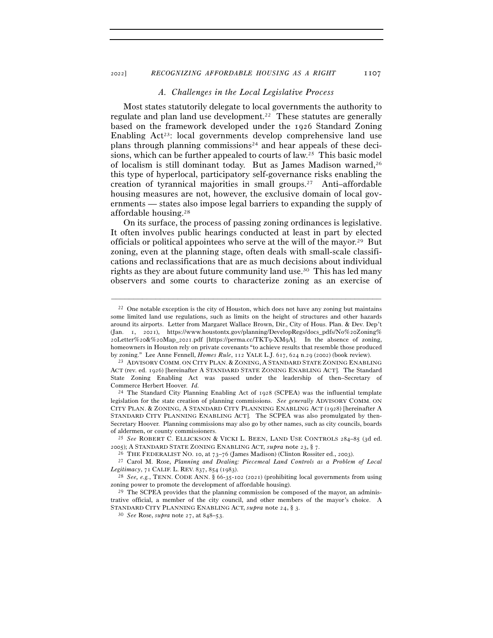#### *A. Challenges in the Local Legislative Process*

Most states statutorily delegate to local governments the authority to regulate and plan land use development.22 These statutes are generally based on the framework developed under the 1926 Standard Zoning Enabling  $Act^{23}$ : local governments develop comprehensive land use plans through planning commissions<sup>24</sup> and hear appeals of these decisions, which can be further appealed to courts of law.25 This basic model of localism is still dominant today. But as James Madison warned,26 this type of hyperlocal, participatory self-governance risks enabling the creation of tyrannical majorities in small groups.27 Anti–affordable housing measures are not, however, the exclusive domain of local governments — states also impose legal barriers to expanding the supply of affordable housing.28

On its surface, the process of passing zoning ordinances is legislative. It often involves public hearings conducted at least in part by elected officials or political appointees who serve at the will of the mayor.<sup>29</sup> But zoning, even at the planning stage, often deals with small-scale classifications and reclassifications that are as much decisions about individual rights as they are about future community land use.30 This has led many observers and some courts to characterize zoning as an exercise of

 $^{22}$  One notable exception is the city of Houston, which does not have any zoning but maintains some limited land use regulations, such as limits on the height of structures and other hazards around its airports. Letter from Margaret Wallace Brown, Dir., City of Hous. Plan. & Dev. Dep't (Jan. 1, 2021), https://www.houstontx.gov/planning/DevelopRegs/docs\_pdfs/No%20Zoning% 20Letter%20&%20Map\_2021.pdf [https://perma.cc/TKT9-XM9A]. In the absence of zoning, homeowners in Houston rely on private covenants "to achieve results that resemble those produced by zoning." Lee Anne Fennell, *Homes Rule*, 112 YALE L.J. 617, 624 n.29 (<sup>2002</sup>) (book review). 23 ADVISORY COMM. ON CITY PLAN. & ZONING, <sup>A</sup> STANDARD STATE ZONING ENABLING

ACT (rev. ed. 1926) [hereinafter A STANDARD STATE ZONING ENABLING ACT]. The Standard State Zoning Enabling Act was passed under the leadership of then–Secretary of Commerce Herbert Hoover. *Id.*

<sup>24</sup> The Standard City Planning Enabling Act of 1928 (SCPEA) was the influential template legislation for the state creation of planning commissions. *See generally* ADVISORY COMM. ON CITY PLAN. & ZONING, A STANDARD CITY PLANNING ENABLING ACT (1928) [hereinafter A STANDARD CITY PLANNING ENABLING ACT]. The SCPEA was also promulgated by then-Secretary Hoover. Planning commissions may also go by other names, such as city councils, boards

of aldermen, or county commissioners.<br><sup>25</sup> *See* ROBERT C. ELLICKSON & VICKI L. BEEN, LAND USE CONTROLS 284–85 (3d ed.<br>2005); A STANDARD STATE ZONING ENABLING ACT, *supra* note 23, § 7.

<sup>&</sup>lt;sup>26</sup> THE FEDERALIST NO. 10, at  $73-76$  (James Madison) (Clinton Rossiter ed., 2003).<br><sup>27</sup> Carol M. Rose, *Planning and Dealing: Piecemeal Land Controls as a Problem of Local Legitimacy*, <sup>71</sup> CALIF. L. REV. <sup>837</sup>, 854 (<sup>1983</sup>). 28 *See, e.g.*, TENN. CODE ANN. § 66-35-102 (2021) (prohibiting local governments from using

zoning power to promote the development of affordable housing).<br><sup>29</sup> The SCPEA provides that the planning commission be composed of the mayor, an adminis-

trative official, a member of the city council, and other members of the mayor's choice. A STANDARD CITY PLANNING ENABLING ACT, *supra* note 24, § <sup>3</sup>. 30 *See* Rose, *supra* note 27, at 848–53.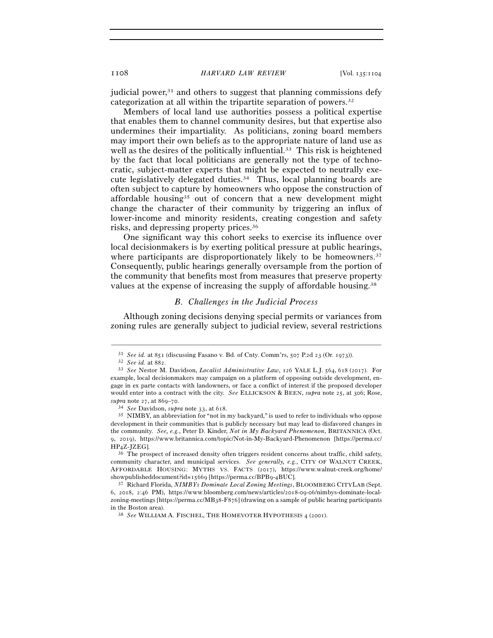judicial power, $31$  and others to suggest that planning commissions defy categorization at all within the tripartite separation of powers.32

Members of local land use authorities possess a political expertise that enables them to channel community desires, but that expertise also undermines their impartiality. As politicians, zoning board members may import their own beliefs as to the appropriate nature of land use as well as the desires of the politically influential.<sup>33</sup> This risk is heightened by the fact that local politicians are generally not the type of technocratic, subject-matter experts that might be expected to neutrally execute legislatively delegated duties.34 Thus, local planning boards are often subject to capture by homeowners who oppose the construction of affordable housing35 out of concern that a new development might change the character of their community by triggering an influx of lower-income and minority residents, creating congestion and safety risks, and depressing property prices.36

One significant way this cohort seeks to exercise its influence over local decisionmakers is by exerting political pressure at public hearings, where participants are disproportionately likely to be homeowners.<sup>37</sup> Consequently, public hearings generally oversample from the portion of the community that benefits most from measures that preserve property values at the expense of increasing the supply of affordable housing.38

### *B. Challenges in the Judicial Process*

Although zoning decisions denying special permits or variances from zoning rules are generally subject to judicial review, several restrictions

<sup>&</sup>lt;sup>31</sup> See id. at 851 (discussing Fasano v. Bd. of Cnty. Comm'rs, 507 P.2d 23 (Or. 1973)).<br><sup>32</sup> See id. at 882.<br><sup>33</sup> See Nestor M. Davidson, *Localist Administrative Law*, 126 YALE L.J. 564, 618 (2017). For example, local decisionmakers may campaign on a platform of opposing outside development, engage in ex parte contacts with landowners, or face a conflict of interest if the proposed developer would enter into a contract with the city. *See* ELLICKSON & BEEN, *supra* note 25, at 306; Rose, *supra* note 27, at 869–<sup>70</sup>. 34 *See* Davidson, *supra* note 33, at <sup>618</sup>. 35 NIMBY, an abbreviation for "not in my backyard," is used to refer to individuals who oppose

development in their communities that is publicly necessary but may lead to disfavored changes in the community. *See, e.g.*, Peter D. Kinder, *Not in My Backyard Phenomenon*, BRITANNICA (Oct. 9, 2019), https://www.britannica.com/topic/Not-in-My-Backyard-Phenomenon [https://perma.cc/ HP4Z-JZEG].

<sup>&</sup>lt;sup>36</sup> The prospect of increased density often triggers resident concerns about traffic, child safety, community character, and municipal services. *See generally, e.g.*, CITY OF WALNUT CREEK, AFFORDABLE HOUSING: MYTHS VS. FACTS (2017), https://www.walnut-creek.org/home/ showpublisheddocument?id=15669 [https://perma.cc/BPB9-<sup>4</sup>BUC]. 37 Richard Florida, *NIMBYs Dominate Local Zoning Meetings*, BLOOMBERG CITYLAB (Sept.

<sup>6</sup>, 2018, 2:46 PM), https://www.bloomberg.com/news/articles/2018-09-06/nimbys-dominate-localzoning-meetings [https://perma.cc/MB38-F876] (drawing on a sample of public hearing participants in the Boston area). 38 *See* WILLIAM A. FISCHEL, THE HOMEVOTER HYPOTHESIS 4 (2001).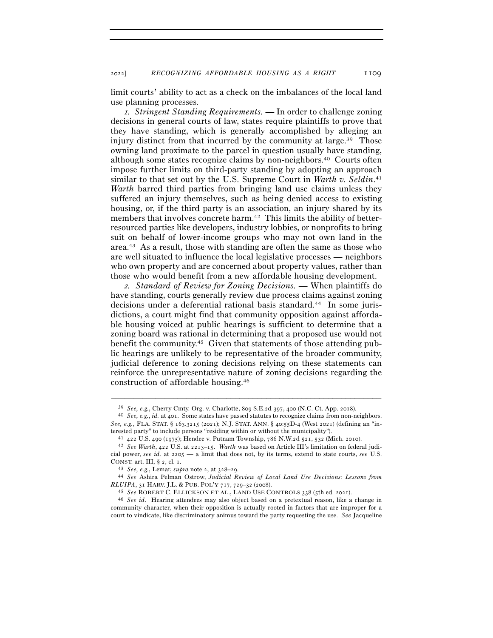limit courts' ability to act as a check on the imbalances of the local land use planning processes.

<sup>1</sup>*. Stringent Standing Requirements.* — In order to challenge zoning decisions in general courts of law, states require plaintiffs to prove that they have standing, which is generally accomplished by alleging an injury distinct from that incurred by the community at large.<sup>39</sup> Those owning land proximate to the parcel in question usually have standing, although some states recognize claims by non-neighbors.40 Courts often impose further limits on third-party standing by adopting an approach similar to that set out by the U.S. Supreme Court in *Warth v. Seldin*. 41 *Warth* barred third parties from bringing land use claims unless they suffered an injury themselves, such as being denied access to existing housing, or, if the third party is an association, an injury shared by its members that involves concrete harm.<sup>42</sup> This limits the ability of betterresourced parties like developers, industry lobbies, or nonprofits to bring suit on behalf of lower-income groups who may not own land in the area.43 As a result, those with standing are often the same as those who are well situated to influence the local legislative processes — neighbors who own property and are concerned about property values, rather than those who would benefit from a new affordable housing development.

<sup>2</sup>*. Standard of Review for Zoning Decisions. —* When plaintiffs do have standing, courts generally review due process claims against zoning decisions under a deferential rational basis standard.<sup>44</sup> In some jurisdictions, a court might find that community opposition against affordable housing voiced at public hearings is sufficient to determine that a zoning board was rational in determining that a proposed use would not benefit the community.45 Given that statements of those attending public hearings are unlikely to be representative of the broader community, judicial deference to zoning decisions relying on these statements can reinforce the unrepresentative nature of zoning decisions regarding the construction of affordable housing.46

<sup>39</sup> *See, e.g.*, Cherry Cmty. Org. v. Charlotte, 809 S.E.2d 397, 400 (N.C. Ct. App. <sup>2018</sup>). 40 *See, e.g.*, *id.* at 401. Some states have passed statutes to recognize claims from non-neighbors. *See, e.g.*, FLA. STAT. § 163.3215 (2021); N.J. STAT. ANN. § 40:55D-4 (West 2021) (defining an "interested party" to include persons "residing within or without the municipality").<br>
<sup>41</sup> 422 U.S. 490 (1975); Hendee v. Putnam Township, 786 N.W.2d 521, 532 (Mich. 2010).<br>
<sup>42</sup> *See Warth*, 422 U.S. at 2213–15. *Warth* wa

cial power, *see id.* at 2205 — a limit that does not, by its terms, extend to state courts, *see* U.S. CONST. art. III, § 2, cl. <sup>1</sup>. 43 *See, e.g.*, Lemar, *supra* note 2, at 328–<sup>29</sup>. 44 *See* Ashira Pelman Ostrow, *Judicial Review of Local Land Use Decisions: Lessons from* 

*RLUIPA*, 31 HARV. J.L. & PUB. POL'Y <sup>717</sup>, <sup>729</sup>–<sup>32</sup> (<sup>2008</sup>). 45 *See* ROBERT C. ELLICKSON ET AL., LAND USE CONTROLS 338 (5th ed. 2021).

<sup>46</sup> *See id*. Hearing attendees may also object based on a pretextual reason, like a change in community character, when their opposition is actually rooted in factors that are improper for a court to vindicate, like discriminatory animus toward the party requesting the use. *See* Jacqueline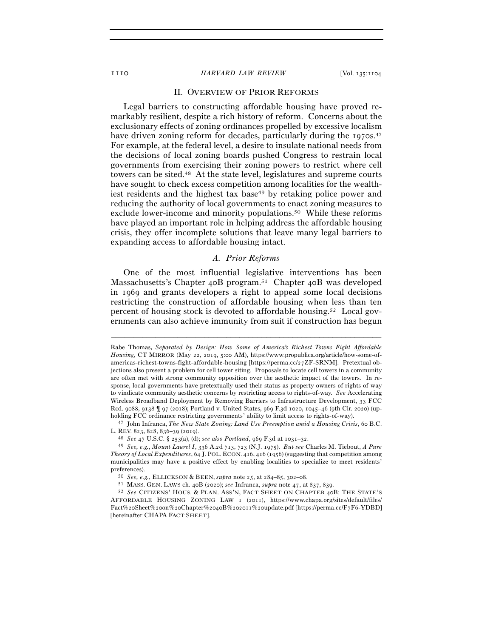### II. OVERVIEW OF PRIOR REFORMS

Legal barriers to constructing affordable housing have proved remarkably resilient, despite a rich history of reform. Concerns about the exclusionary effects of zoning ordinances propelled by excessive localism have driven zoning reform for decades, particularly during the 1970s.<sup>47</sup> For example, at the federal level, a desire to insulate national needs from the decisions of local zoning boards pushed Congress to restrain local governments from exercising their zoning powers to restrict where cell towers can be sited.48 At the state level, legislatures and supreme courts have sought to check excess competition among localities for the wealthiest residents and the highest tax base<sup>49</sup> by retaking police power and reducing the authority of local governments to enact zoning measures to exclude lower-income and minority populations.<sup>50</sup> While these reforms have played an important role in helping address the affordable housing crisis, they offer incomplete solutions that leave many legal barriers to expanding access to affordable housing intact.

#### *A. Prior Reforms*

One of the most influential legislative interventions has been Massachusetts's Chapter 40B program.51 Chapter 40B was developed in 1969 and grants developers a right to appeal some local decisions restricting the construction of affordable housing when less than ten percent of housing stock is devoted to affordable housing.52 Local governments can also achieve immunity from suit if construction has begun

Rabe Thomas, *Separated by Design: How Some of America's Richest Towns Fight Affordable Housing*, CT MIRROR (May 22, 2019, 5:00 AM), https://www.propublica.org/article/how-some-ofamericas-richest-towns-fight-affordable-housing [https://perma.cc/27ZF-SRNM]. Pretextual objections also present a problem for cell tower siting. Proposals to locate cell towers in a community are often met with strong community opposition over the aesthetic impact of the towers. In response, local governments have pretextually used their status as property owners of rights of way to vindicate community aesthetic concerns by restricting access to rights-of-way. *See* Accelerating Wireless Broadband Deployment by Removing Barriers to Infrastructure Development, 33 FCC Rcd. 9088, 9138 ¶ 97 (2018); Portland v. United States, 969 F.3d 1020, 1045–46 (9th Cir. 2020) (upholding FCC ordinance restricting governments' ability to limit access to rights-of-way). 47 John Infranca, *The New State Zoning: Land Use Preemption amid a Housing Crisis*, 60 B.C.

L. REV. 823, 828, 836–39 (2019).<br><sup>48</sup> See 47 U.S.C. § 253(a), (d); *see also Portland*, 969 F.3d at 1031–32.<br><sup>49</sup> See, e.g., Mount Laurel I, 336 A.2d 713, 723 (N.J. 1975). *But see* Charles M. Tiebout, A Pure

*Theory of Local Expenditures*, 64 J. POL. ECON. 416, 416 (1956) (suggesting that competition among municipalities may have a positive effect by enabling localities to specialize to meet residents'

preferences).<br>
50 See, e.g., ELLICKSON & BEEN, supra note 25, at 284–85, 302–08.<br>
51 MASS. GEN. LAWS ch. 40B (2020); see Infranca, supra note 47, at 837, 839.<br>
52 See CITIZENS' HOUS. & PLAN. ASS'N, FACT SHEET ON CHAPTER 4 AFFORDABLE HOUSING ZONING LAW 1 (2011), https://www.chapa.org/sites/default/files/ Fact%20Sheet%20on%20Chapter%2040B%202011%20update.pdf [https://perma.cc/F7F6-YDBD] [hereinafter CHAPA FACT SHEET].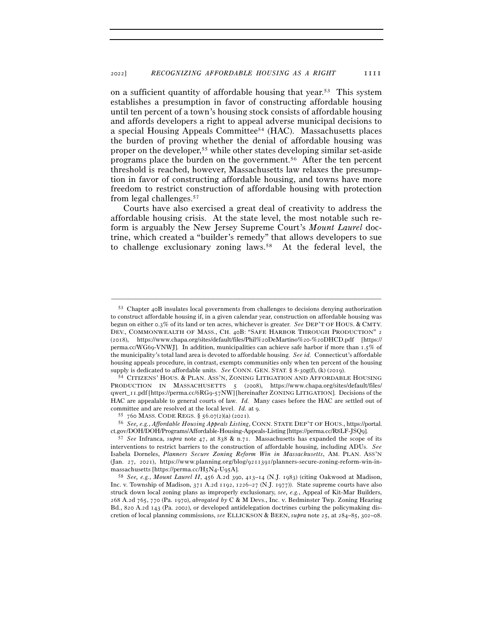on a sufficient quantity of affordable housing that year.53 This system establishes a presumption in favor of constructing affordable housing until ten percent of a town's housing stock consists of affordable housing and affords developers a right to appeal adverse municipal decisions to a special Housing Appeals Committee54 (HAC). Massachusetts places the burden of proving whether the denial of affordable housing was proper on the developer,55 while other states developing similar set-aside programs place the burden on the government.56 After the ten percent threshold is reached, however, Massachusetts law relaxes the presumption in favor of constructing affordable housing, and towns have more freedom to restrict construction of affordable housing with protection from legal challenges.57

Courts have also exercised a great deal of creativity to address the affordable housing crisis. At the state level, the most notable such reform is arguably the New Jersey Supreme Court's *Mount Laurel* doctrine, which created a "builder's remedy" that allows developers to sue to challenge exclusionary zoning laws.<sup>58</sup> At the federal level, the

–––––––––––––––––––––––––––––––––––––––––––––––––––––––––––––

ct.gov/DOH/DOH/Programs/Affordable-Housing-Appeals-Listing [https://perma.cc/R8LF-JSQ<sup>9</sup>]. 57 *See* Infranca, *supra* note 47, at <sup>838</sup> & n.71. Massachusetts has expanded the scope of its

<sup>53</sup> Chapter 40B insulates local governments from challenges to decisions denying authorization to construct affordable housing if, in a given calendar year, construction on affordable housing was begun on either 0.3% of its land or ten acres, whichever is greater. *See* DEP'T OF HOUS. & CMTY. DEV., COMMONWEALTH OF MASS., CH. 40B: "SAFE HARBOR THROUGH PRODUCTION" 2 (2018), https://www.chapa.org/sites/default/files/Phil%20DeMartino%20-%20DHCD.pdf [https:// perma.cc/WG69-VNWJ].In addition, municipalities can achieve safe harbor if more than 1.5% of the municipality's total land area is devoted to affordable housing. *See id.* Connecticut's affordable housing appeals procedure, in contrast, exempts communities only when ten percent of the housing supply is dedicated to affordable units. *See* CONN. GEN. STAT. § 8-30g(f), (k) (2019).<br><sup>54</sup> CITIZENS' HOUS. & PLAN. ASS'N, ZONING LITIGATION AND AFFORDABLE HOUSING

PRODUCTION IN MASSACHUSETTS 5 (2008), https://www.chapa.org/sites/default/files/ qwert\_11.pdf [https://perma.cc/6RG9-57NW] [hereinafter ZONING LITIGATION]. Decisions of the HAC are appealable to general courts of law. *Id.* Many cases before the HAC are settled out of committee and are resolved at the local level. *Id.* at 9.<br>55 760 MASS. CODE REGS. § 56.07(2)(a) (2021).<br><sup>56</sup> *See, e.g., Affordable Housing Appeals Listing*, CONN. STATE DEP'T OF HOUS., https://portal.

interventions to restrict barriers to the construction of affordable housing, including ADUs. *See* Isabela Dorneles, *Planners Secure Zoning Reform Win in Massachusetts*, AM. PLAN. ASS'N (Jan. 27, 2021), https://www.planning.org/blog/9211391/planners-secure-zoning-reform-win-inmassachusetts [https://perma.cc/H5N4-U<sup>95</sup>A]. 58 *See, e.g.*, *Mount Laurel II*, 456 A.2d 390, 413–14 (N.J. 1983) (citing Oakwood at Madison,

Inc. v. Township of Madison, 371 A.2d 1192, 1226–27 (N.J. 1977)). State supreme courts have also struck down local zoning plans as improperly exclusionary, *see, e.g.*, Appeal of Kit-Mar Builders, 268 A.2d 765, 770 (Pa. 1970), *abrogated by* C & M Devs., Inc. v. Bedminster Twp. Zoning Hearing Bd., 820 A.2d 143 (Pa. 2002), or developed antidelegation doctrines curbing the policymaking discretion of local planning commissions, *see* ELLICKSON & BEEN, *supra* note 25, at 284–85, 302–08.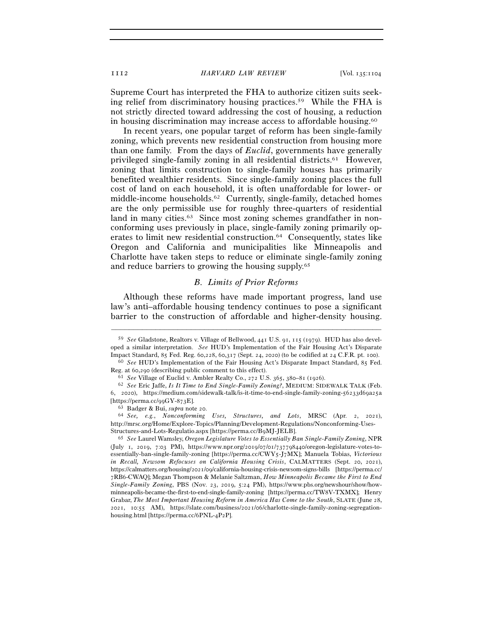Supreme Court has interpreted the FHA to authorize citizen suits seeking relief from discriminatory housing practices.59 While the FHA is not strictly directed toward addressing the cost of housing, a reduction in housing discrimination may increase access to affordable housing.60

In recent years, one popular target of reform has been single-family zoning, which prevents new residential construction from housing more than one family. From the days of *Euclid*, governments have generally privileged single-family zoning in all residential districts.61 However, zoning that limits construction to single-family houses has primarily benefited wealthier residents. Since single-family zoning places the full cost of land on each household, it is often unaffordable for lower- or middle-income households.62 Currently, single-family, detached homes are the only permissible use for roughly three-quarters of residential land in many cities.<sup>63</sup> Since most zoning schemes grandfather in nonconforming uses previously in place, single-family zoning primarily operates to limit new residential construction.64 Consequently, states like Oregon and California and municipalities like Minneapolis and Charlotte have taken steps to reduce or eliminate single-family zoning and reduce barriers to growing the housing supply.65

### *B. Limits of Prior Reforms*

Although these reforms have made important progress, land use law's anti–affordable housing tendency continues to pose a significant barrier to the construction of affordable and higher-density housing.

<sup>59</sup> *See* Gladstone, Realtors v. Village of Bellwood, 441 U.S. 91, 115 (1979). HUD has also developed a similar interpretation. *See* HUD's Implementation of the Fair Housing Act's Disparate Impact Standard, 85 Fed. Reg. 60,228, 60,317 (Sept. 24, 2020) (to be codified at 24 C.F.R. pt. <sup>100</sup>). 60 *See* HUD's Implementation of the Fair Housing Act's Disparate Impact Standard, 85 Fed.

Reg. at 60,290 (describing public comment to this effect).<br><sup>61</sup> See Village of Euclid v. Ambler Realty Co., 272 U.S. 365, 380–81 (1926).<br><sup>62</sup> See Eric Jaffe, *Is It Time to End Single-Family Zoning?*, MEDIUM: SIDEWALK TALK

<sup>6</sup>, 2020), https://medium.com/sidewalk-talk/is-it-time-to-end-single-family-zoning-56233d69a25a [https://perma.cc/99GY-<sup>873</sup>E]. 63 Badger & Bui, *supra* note <sup>20</sup>. 64 *See, e.g.*, *Nonconforming Uses, Structures, and Lots*, MRSC (Apr. 2, 2021),

http://mrsc.org/Home/Explore-Topics/Planning/Development-Regulations/Nonconforming-Uses-Structures-and-Lots-Regulatio.aspx [https://perma.cc/B<sup>9</sup>MJ-JELB]. 65 *See* Laurel Wamsley, *Oregon Legislature Votes to Essentially Ban Single-Family Zoning*, NPR

<sup>(</sup>July 1, 2019, 7:03 PM), https://www.npr.org/2019/07/01/737798440/oregon-legislature-votes-toessentially-ban-single-family-zoning [https://perma.cc/CWY5-J7MX]; Manuela Tobias, *Victorious in Recall, Newsom Refocuses on California Housing Crisis*, CALMATTERS (Sept. 20, 2021), https://calmatters.org/housing/2021/09/california-housing-crisis-newsom-signs-bills [https://perma.cc/ 7RB6-CWAQ]; Megan Thompson & Melanie Saltzman, *How Minneapolis Became the First to End Single-Family Zoning*, PBS (Nov. 23, 2019, 5:24 PM), https://www.pbs.org/newshour/show/howminneapolis-became-the-first-to-end-single-family-zoning [https://perma.cc/TW8V-TXMX]; Henry Grabar, *The Most Important Housing Reform in America Has Come to the South*, SLATE (June 28, 2021, 10:55 AM), https://slate.com/business/2021/06/charlotte-single-family-zoning-segregationhousing.html [https://perma.cc/6PNL-4P2P].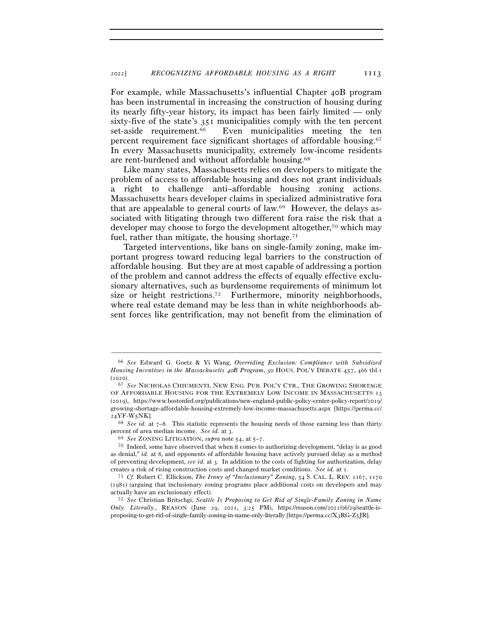For example, while Massachusetts's influential Chapter 40B program has been instrumental in increasing the construction of housing during its nearly fifty-year history, its impact has been fairly limited — only sixty-five of the state's 351 municipalities comply with the ten percent set-aside requirement.66 Even municipalities meeting the ten percent requirement face significant shortages of affordable housing.67 In every Massachusetts municipality, extremely low-income residents are rent-burdened and without affordable housing.68

Like many states, Massachusetts relies on developers to mitigate the problem of access to affordable housing and does not grant individuals a right to challenge anti–affordable housing zoning actions. Massachusetts hears developer claims in specialized administrative fora that are appealable to general courts of law.69 However, the delays associated with litigating through two different fora raise the risk that a developer may choose to forgo the development altogether,70 which may fuel, rather than mitigate, the housing shortage.<sup>71</sup>

Targeted interventions, like bans on single-family zoning, make important progress toward reducing legal barriers to the construction of affordable housing. But they are at most capable of addressing a portion of the problem and cannot address the effects of equally effective exclusionary alternatives, such as burdensome requirements of minimum lot size or height restrictions.72 Furthermore, minority neighborhoods, where real estate demand may be less than in white neighborhoods absent forces like gentrification, may not benefit from the elimination of

–––––––––––––––––––––––––––––––––––––––––––––––––––––––––––––

percent of area median income. *See id.* at 3.<br><sup>69</sup> *See* ZONING LITIGATION, *supra* note 54, at 5–7.<br><sup>70</sup> Indeed, some have observed that when it comes to authorizing development, "delay is as good

<sup>66</sup> *See* Edward G. Goetz & Yi Wang, *Overriding Exclusion: Compliance with Subsidized Housing Incentives in the Massachusetts 40B Program*, 30 HOUS. POL'Y DEBATE 457, 466 tbl.1 (<sup>2020</sup>). 67 *See* NICHOLAS CHIUMENTI, NEW ENG. PUB. POL'Y CTR., THE GROWING SHORTAGE

OF AFFORDABLE HOUSING FOR THE EXTREMELY LOW INCOME IN MASSACHUSETTS 13 (2019), https://www.bostonfed.org/publications/new-england-public-policy-center-policy-report/2019/ growing-shortage-affordable-housing-extremely-low-income-massachusetts.aspx [https://perma.cc/ <sup>24</sup>YF-W<sup>5</sup>NK]. 68 *See id.* at 7–8. This statistic represents the housing needs of those earning less than thirty

as denial," *id.* at 8, and opponents of affordable housing have actively pursued delay as a method of preventing development, *see id.* at 3. In addition to the costs of fighting for authorization, delay

creates a risk of rising construction costs and changed market conditions. *See id.* at <sup>1</sup>. 71 *Cf.* Robert C. Ellickson, *The Irony of "Inclusionary" Zoning*, <sup>54</sup> S. CAL. L. REV. 1167, <sup>1170</sup> (1981) (arguing that inclusionary zoning programs place additional costs on developers and may actually have an exclusionary effect). 72 *See* Christian Britschgi, *Seattle Is Proposing to Get Rid of Single-Family Zoning in Name* 

*Only. Literally.*, REASON (June 29, 2021, 3:25 PM), https://reason.com/2021/06/29/seattle-isproposing-to-get-rid-of-single-family-zoning-in-name-only-literally [https://perma.cc/X3RG-Z5JR].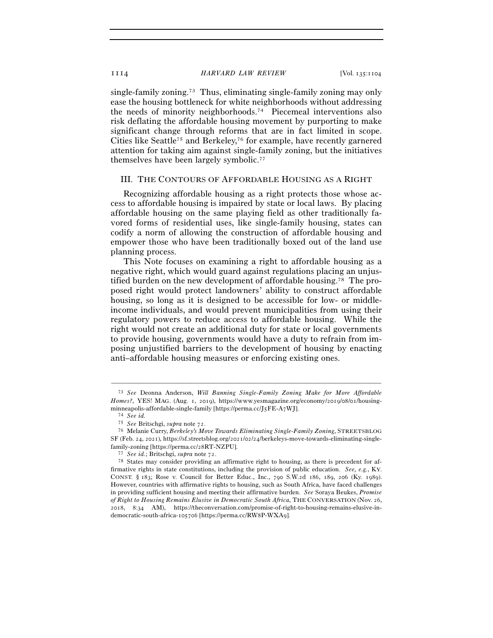single-family zoning.73 Thus, eliminating single-family zoning may only ease the housing bottleneck for white neighborhoods without addressing the needs of minority neighborhoods.74 Piecemeal interventions also risk deflating the affordable housing movement by purporting to make significant change through reforms that are in fact limited in scope. Cities like Seattle<sup>75</sup> and Berkeley,<sup>76</sup> for example, have recently garnered attention for taking aim against single-family zoning, but the initiatives themselves have been largely symbolic.77

#### III. THE CONTOURS OF AFFORDABLE HOUSING AS A RIGHT

Recognizing affordable housing as a right protects those whose access to affordable housing is impaired by state or local laws. By placing affordable housing on the same playing field as other traditionally favored forms of residential uses, like single-family housing, states can codify a norm of allowing the construction of affordable housing and empower those who have been traditionally boxed out of the land use planning process.

This Note focuses on examining a right to affordable housing as a negative right, which would guard against regulations placing an unjustified burden on the new development of affordable housing.78 The proposed right would protect landowners' ability to construct affordable housing, so long as it is designed to be accessible for low- or middleincome individuals, and would prevent municipalities from using their regulatory powers to reduce access to affordable housing. While the right would not create an additional duty for state or local governments to provide housing, governments would have a duty to refrain from imposing unjustified barriers to the development of housing by enacting anti–affordable housing measures or enforcing existing ones.

<sup>73</sup> *See* Deonna Anderson, *Will Banning Single-Family Zoning Make for More Affordable Homes?*, YES! MAG. (Aug. 1, 2019), https://www.yesmagazine.org/economy/2019/08/01/housingminneapolis-affordable-single-family [https://perma.cc/J5FE-A<sup>7</sup>WJ]. 74 *See id.*

<sup>75</sup> *See* Britschgi, *supra* note <sup>72</sup>. 76 Melanie Curry, *Berkeley's Move Towards Eliminating Single-Family Zoning*, STREETSBLOG SF (Feb. 24, 2021), https://sf.streetsblog.org/2021/02/24/berkeleys-move-towards-eliminating-singlefamily-zoning [https://perma.cc/<sup>28</sup>RT-NZPU]. 77 *See id.*; Britschgi, *supra* note 72.

<sup>78</sup> States may consider providing an affirmative right to housing, as there is precedent for affirmative rights in state constitutions, including the provision of public education. *See, e.g.*, KY. CONST. § 183; Rose v. Council for Better Educ., Inc., 790 S.W.2d 186, 189, 206 (Ky. 1989). However, countries with affirmative rights to housing, such as South Africa, have faced challenges in providing sufficient housing and meeting their affirmative burden. *See* Soraya Beukes, *Promise of Right to Housing Remains Elusive in Democratic South Africa*, THE CONVERSATION (Nov. 26, 2018, 8:34 AM), https://theconversation.com/promise-of-right-to-housing-remains-elusive-indemocratic-south-africa-105706 [https://perma.cc/RW8P-WXA9].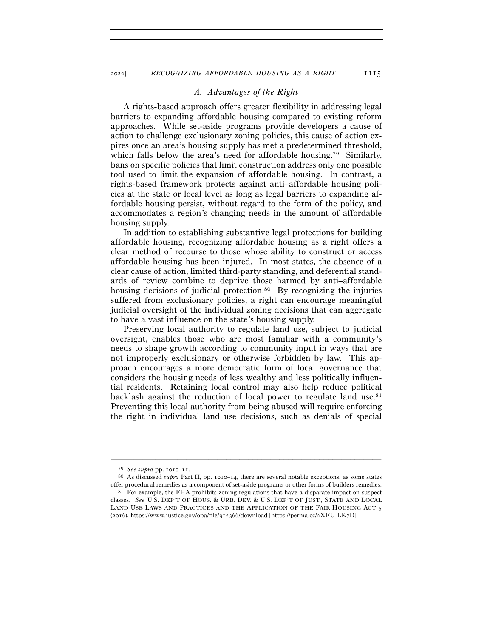#### *A. Advantages of the Right*

A rights-based approach offers greater flexibility in addressing legal barriers to expanding affordable housing compared to existing reform approaches. While set-aside programs provide developers a cause of action to challenge exclusionary zoning policies, this cause of action expires once an area's housing supply has met a predetermined threshold, which falls below the area's need for affordable housing.<sup>79</sup> Similarly, bans on specific policies that limit construction address only one possible tool used to limit the expansion of affordable housing. In contrast, a rights-based framework protects against anti–affordable housing policies at the state or local level as long as legal barriers to expanding affordable housing persist, without regard to the form of the policy, and accommodates a region's changing needs in the amount of affordable housing supply.

In addition to establishing substantive legal protections for building affordable housing, recognizing affordable housing as a right offers a clear method of recourse to those whose ability to construct or access affordable housing has been injured. In most states, the absence of a clear cause of action, limited third-party standing, and deferential standards of review combine to deprive those harmed by anti–affordable housing decisions of judicial protection.<sup>80</sup> By recognizing the injuries suffered from exclusionary policies, a right can encourage meaningful judicial oversight of the individual zoning decisions that can aggregate to have a vast influence on the state's housing supply.

Preserving local authority to regulate land use, subject to judicial oversight, enables those who are most familiar with a community's needs to shape growth according to community input in ways that are not improperly exclusionary or otherwise forbidden by law. This approach encourages a more democratic form of local governance that considers the housing needs of less wealthy and less politically influential residents. Retaining local control may also help reduce political backlash against the reduction of local power to regulate land use. $81$ Preventing this local authority from being abused will require enforcing the right in individual land use decisions, such as denials of special

<sup>79</sup> *See supra* pp. 1010–<sup>11</sup>. 80 As discussed *supra* Part II, pp. 1010–14, there are several notable exceptions, as some states offer procedural remedies as a component of set-aside programs or other forms of builders remedies. 81 For example, the FHA prohibits zoning regulations that have a disparate impact on suspect

classes. *See* U.S. DEP'T OF HOUS. & URB. DEV. & U.S. DEP'T OF JUST., STATE AND LOCAL LAND USE LAWS AND PRACTICES AND THE APPLICATION OF THE FAIR HOUSING ACT 5 (2016), https://www.justice.gov/opa/file/912366/download [https://perma.cc/2XFU-LK7D].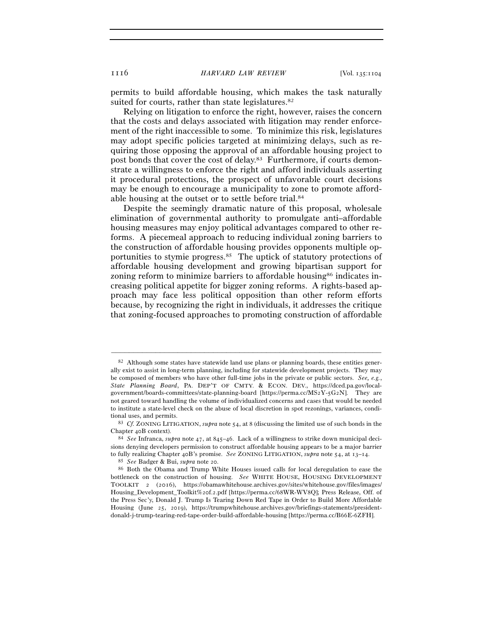permits to build affordable housing, which makes the task naturally suited for courts, rather than state legislatures.<sup>82</sup>

Relying on litigation to enforce the right, however, raises the concern that the costs and delays associated with litigation may render enforcement of the right inaccessible to some. To minimize this risk, legislatures may adopt specific policies targeted at minimizing delays, such as requiring those opposing the approval of an affordable housing project to post bonds that cover the cost of delay.83 Furthermore, if courts demonstrate a willingness to enforce the right and afford individuals asserting it procedural protections, the prospect of unfavorable court decisions may be enough to encourage a municipality to zone to promote affordable housing at the outset or to settle before trial.84

Despite the seemingly dramatic nature of this proposal, wholesale elimination of governmental authority to promulgate anti–affordable housing measures may enjoy political advantages compared to other reforms. A piecemeal approach to reducing individual zoning barriers to the construction of affordable housing provides opponents multiple opportunities to stymie progress.85 The uptick of statutory protections of affordable housing development and growing bipartisan support for zoning reform to minimize barriers to affordable housing<sup>86</sup> indicates increasing political appetite for bigger zoning reforms. A rights-based approach may face less political opposition than other reform efforts because, by recognizing the right in individuals, it addresses the critique that zoning-focused approaches to promoting construction of affordable

 $82$  Although some states have statewide land use plans or planning boards, these entities generally exist to assist in long-term planning, including for statewide development projects. They may be composed of members who have other full-time jobs in the private or public sectors. *See, e.g.*, *State Planning Board*, PA. DEP'T OF CMTY. & ECON. DEV., https://dced.pa.gov/localgovernment/boards-committees/state-planning-board [https://perma.cc/MS2Y-5G2N]. They are not geared toward handling the volume of individualized concerns and cases that would be needed to institute a state-level check on the abuse of local discretion in spot rezonings, variances, condi-

tional uses, and permits. 83 *Cf.* ZONING LITIGATION, *supra* note 54, at 8 (discussing the limited use of such bonds in the

Chapter <sup>40</sup>B context). 84 *See* Infranca, *supra* note 47, at 845–46. Lack of a willingness to strike down municipal decisions denying developers permission to construct affordable housing appears to be a major barrier to fully realizing Chapter 40B's promise. See ZONING LITIGATION, supra note 54, at 13–14.<br><sup>85</sup> See Badger & Bui, supra note 20.<br><sup>86</sup> Both the Obama and Trump White Houses issued calls for local deregulation to ease the

bottleneck on the construction of housing. *See* WHITE HOUSE, HOUSING DEVELOPMENT TOOLKIT 2 (2016), https://obamawhitehouse.archives.gov/sites/whitehouse.gov/files/images/ Housing\_Development\_Toolkit%20f.2.pdf [https://perma.cc/68WR-WV8Q]; Press Release, Off. of the Press Sec'y, Donald J. Trump Is Tearing Down Red Tape in Order to Build More Affordable Housing (June 25, 2019), https://trumpwhitehouse.archives.gov/briefings-statements/presidentdonald-j-trump-tearing-red-tape-order-build-affordable-housing [https://perma.cc/B66E-6ZFH].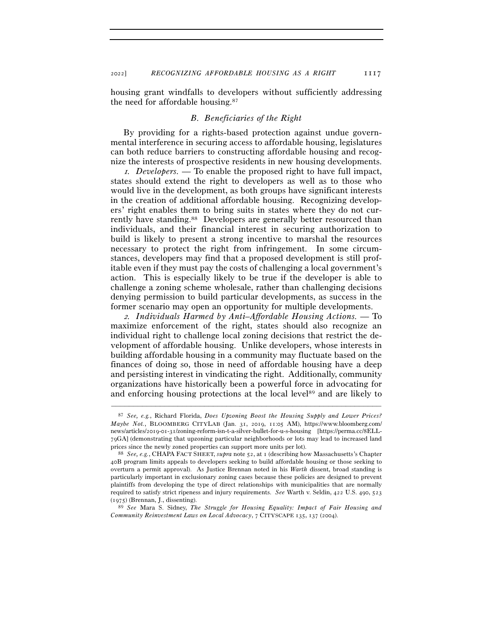housing grant windfalls to developers without sufficiently addressing the need for affordable housing.87

#### *B. Beneficiaries of the Right*

By providing for a rights-based protection against undue governmental interference in securing access to affordable housing, legislatures can both reduce barriers to constructing affordable housing and recognize the interests of prospective residents in new housing developments.

<sup>1</sup>*. Developers.* — To enable the proposed right to have full impact, states should extend the right to developers as well as to those who would live in the development, as both groups have significant interests in the creation of additional affordable housing. Recognizing developers' right enables them to bring suits in states where they do not currently have standing.<sup>88</sup> Developers are generally better resourced than individuals, and their financial interest in securing authorization to build is likely to present a strong incentive to marshal the resources necessary to protect the right from infringement. In some circumstances, developers may find that a proposed development is still profitable even if they must pay the costs of challenging a local government's action. This is especially likely to be true if the developer is able to challenge a zoning scheme wholesale, rather than challenging decisions denying permission to build particular developments, as success in the former scenario may open an opportunity for multiple developments.

<sup>2</sup>*. Individuals Harmed by Anti–Affordable Housing Actions.* — To maximize enforcement of the right, states should also recognize an individual right to challenge local zoning decisions that restrict the development of affordable housing. Unlike developers, whose interests in building affordable housing in a community may fluctuate based on the finances of doing so, those in need of affordable housing have a deep and persisting interest in vindicating the right. Additionally, community organizations have historically been a powerful force in advocating for and enforcing housing protections at the local level<sup>89</sup> and are likely to

<sup>87</sup> *See, e.g.*, Richard Florida, *Does Upzoning Boost the Housing Supply and Lower Prices? Maybe Not.*, BLOOMBERG CITYLAB (Jan. 31, 2019, 11:05 AM), https://www.bloomberg.com/ news/articles/2019-01-31/zoning-reform-isn-t-a-silver-bullet-for-u-s-housing [https://perma.cc/8ELL-79GA] (demonstrating that upzoning particular neighborhoods or lots may lead to increased land prices since the newly zoned properties can support more units per lot). 88 *See, e.g.*, CHAPA FACT SHEET, *supra* note 52, at 1 (describing how Massachusetts's Chapter

<sup>40</sup>B program limits appeals to developers seeking to build affordable housing or those seeking to overturn a permit approval). As Justice Brennan noted in his *Warth* dissent, broad standing is particularly important in exclusionary zoning cases because these policies are designed to prevent plaintiffs from developing the type of direct relationships with municipalities that are normally required to satisfy strict ripeness and injury requirements. *See* Warth v. Seldin, 422 U.S. 490, 523 (<sup>1975</sup>) (Brennan, J., dissenting). 89 *See* Mara S. Sidney, *The Struggle for Housing Equality: Impact of Fair Housing and* 

*Community Reinvestment Laws on Local Advocacy*, 7 CITYSCAPE 135, 137 (2004).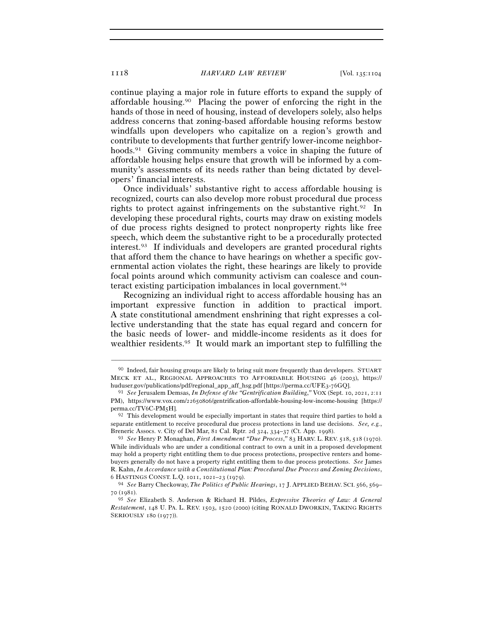continue playing a major role in future efforts to expand the supply of affordable housing.<sup>90</sup> Placing the power of enforcing the right in the hands of those in need of housing, instead of developers solely, also helps address concerns that zoning-based affordable housing reforms bestow windfalls upon developers who capitalize on a region's growth and contribute to developments that further gentrify lower-income neighborhoods.<sup>91</sup> Giving community members a voice in shaping the future of affordable housing helps ensure that growth will be informed by a community's assessments of its needs rather than being dictated by developers' financial interests.

Once individuals' substantive right to access affordable housing is recognized, courts can also develop more robust procedural due process rights to protect against infringements on the substantive right.92 In developing these procedural rights, courts may draw on existing models of due process rights designed to protect nonproperty rights like free speech, which deem the substantive right to be a procedurally protected interest.93 If individuals and developers are granted procedural rights that afford them the chance to have hearings on whether a specific governmental action violates the right, these hearings are likely to provide focal points around which community activism can coalesce and counteract existing participation imbalances in local government.94

Recognizing an individual right to access affordable housing has an important expressive function in addition to practical import. A state constitutional amendment enshrining that right expresses a collective understanding that the state has equal regard and concern for the basic needs of lower- and middle-income residents as it does for wealthier residents.95 It would mark an important step to fulfilling the

<sup>90</sup> Indeed, fair housing groups are likely to bring suit more frequently than developers. STUART MECK ET AL., REGIONAL APPROACHES TO AFFORDABLE HOUSING 46 (2003), https:// huduser.gov/publications/pdf/regional\_app\_aff\_hsg.pdf [https://perma.cc/UFE3-<sup>76</sup>GQ]. 91 *See* Jerusalem Demsas, *In Defense of the "Gentrification Building*,*"* VOX (Sept. 10, 2021, 2:<sup>11</sup>

PM), https://www.vox.com/22650806/gentrification-affordable-housing-low-income-housing [https:// perma.cc/TV6C-PM<sup>5</sup>H]. 92 This development would be especially important in states that require third parties to hold a

separate entitlement to receive procedural due process protections in land use decisions. *See, e.g.*, Breneric Assocs. v. City of Del Mar, 81 Cal. Rptr. 2d 324, 334–37 (Ct. App. <sup>1998</sup>). 93 *See* Henry P. Monaghan, *First Amendment "Due Process*,*"* <sup>83</sup> HARV. L. REV. <sup>518</sup>, 518 (1970).

While individuals who are under a conditional contract to own a unit in a proposed development may hold a property right entitling them to due process protections, prospective renters and homebuyers generally do not have a property right entitling them to due process protections. *See* James R. Kahn, *In Accordance with a Constitutional Plan: Procedural Due Process and Zoning Decisions*, <sup>6</sup> HASTINGS CONST. L.Q. <sup>1011</sup>, 1021–23 (<sup>1979</sup>). 94 *See* Barry Checkoway, *The Politics of Public Hearings*, 17 J. APPLIED BEHAV. SCI. <sup>566</sup>, 569–

<sup>70</sup> (1981).

<sup>95</sup> *See* Elizabeth S. Anderson & Richard H. Pildes, *Expressive Theories of Law: A General Restatement*, 148 U. PA. L. REV. 1503, 1520 (2000) (citing RONALD DWORKIN, TAKING RIGHTS SERIOUSLY 180 (1977)).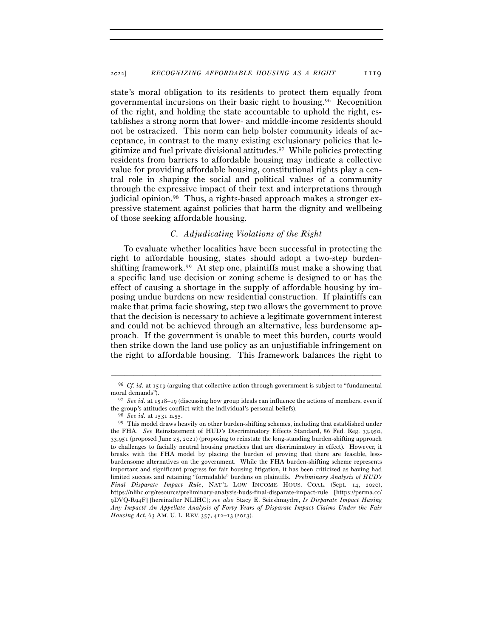state's moral obligation to its residents to protect them equally from governmental incursions on their basic right to housing.96 Recognition of the right, and holding the state accountable to uphold the right, establishes a strong norm that lower- and middle-income residents should not be ostracized. This norm can help bolster community ideals of acceptance, in contrast to the many existing exclusionary policies that legitimize and fuel private divisional attitudes.97 While policies protecting residents from barriers to affordable housing may indicate a collective value for providing affordable housing, constitutional rights play a central role in shaping the social and political values of a community through the expressive impact of their text and interpretations through judicial opinion.<sup>98</sup> Thus, a rights-based approach makes a stronger expressive statement against policies that harm the dignity and wellbeing of those seeking affordable housing.

## *C. Adjudicating Violations of the Right*

To evaluate whether localities have been successful in protecting the right to affordable housing, states should adopt a two-step burdenshifting framework.99 At step one, plaintiffs must make a showing that a specific land use decision or zoning scheme is designed to or has the effect of causing a shortage in the supply of affordable housing by imposing undue burdens on new residential construction. If plaintiffs can make that prima facie showing, step two allows the government to prove that the decision is necessary to achieve a legitimate government interest and could not be achieved through an alternative, less burdensome approach. If the government is unable to meet this burden, courts would then strike down the land use policy as an unjustifiable infringement on the right to affordable housing. This framework balances the right to

<sup>–––––––––––––––––––––––––––––––––––––––––––––––––––––––––––––</sup> <sup>96</sup> *Cf. id.* at 1519 (arguing that collective action through government is subject to "fundamental moral demands").

<sup>97</sup> *See id.* at 1518–19 (discussing how group ideals can influence the actions of members, even if the group's attitudes conflict with the individual's personal beliefs).<br><sup>98</sup> *See id.* at 1531 n.55. 99 This model draws heavily on other burden-shifting schemes, including that established under

the FHA. *See* Reinstatement of HUD's Discriminatory Effects Standard, 86 Fed. Reg. 33,950, 33,951 (proposed June 25, 2021) (proposing to reinstate the long-standing burden-shifting approach to challenges to facially neutral housing practices that are discriminatory in effect). However, it breaks with the FHA model by placing the burden of proving that there are feasible, lessburdensome alternatives on the government. While the FHA burden-shifting scheme represents important and significant progress for fair housing litigation, it has been criticized as having had limited success and retaining "formidable" burdens on plaintiffs. *Preliminary Analysis of HUD's Final Disparate Impact Rule*, NAT'L LOW INCOME HOUS. COAL. (Sept. 14, 2020), https://nlihc.org/resource/preliminary-analysis-huds-final-disparate-impact-rule [https://perma.cc/ 9DVQ-R94F] [hereinafter NLIHC]; *see also* Stacy E. Seicshnaydre, *Is Disparate Impact Having Any Impact? An Appellate Analysis of Forty Years of Disparate Impact Claims Under the Fair Housing Act*, 63 AM. U. L. REV. 357, 412–13 (2013).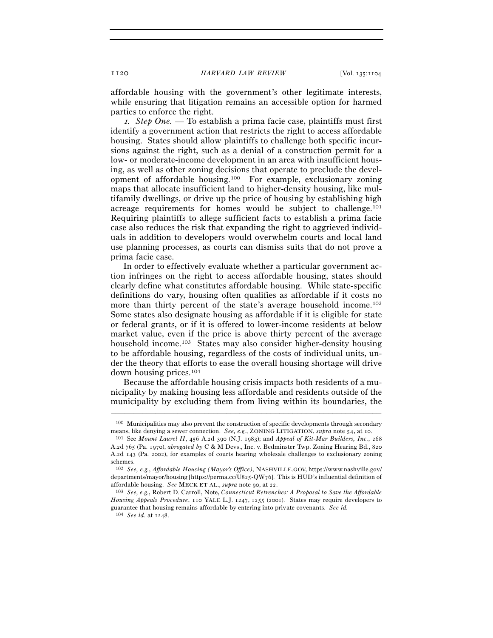affordable housing with the government's other legitimate interests, while ensuring that litigation remains an accessible option for harmed parties to enforce the right.

<sup>1</sup>*. Step One.* — To establish a prima facie case, plaintiffs must first identify a government action that restricts the right to access affordable housing. States should allow plaintiffs to challenge both specific incursions against the right, such as a denial of a construction permit for a low- or moderate-income development in an area with insufficient housing, as well as other zoning decisions that operate to preclude the development of affordable housing.100 For example, exclusionary zoning maps that allocate insufficient land to higher-density housing, like multifamily dwellings, or drive up the price of housing by establishing high acreage requirements for homes would be subject to challenge.101 Requiring plaintiffs to allege sufficient facts to establish a prima facie case also reduces the risk that expanding the right to aggrieved individuals in addition to developers would overwhelm courts and local land use planning processes, as courts can dismiss suits that do not prove a prima facie case.

In order to effectively evaluate whether a particular government action infringes on the right to access affordable housing, states should clearly define what constitutes affordable housing. While state-specific definitions do vary, housing often qualifies as affordable if it costs no more than thirty percent of the state's average household income.<sup>102</sup> Some states also designate housing as affordable if it is eligible for state or federal grants, or if it is offered to lower-income residents at below market value, even if the price is above thirty percent of the average household income.103 States may also consider higher-density housing to be affordable housing, regardless of the costs of individual units, under the theory that efforts to ease the overall housing shortage will drive down housing prices.104

Because the affordable housing crisis impacts both residents of a municipality by making housing less affordable and residents outside of the municipality by excluding them from living within its boundaries, the

<sup>–––––––––––––––––––––––––––––––––––––––––––––––––––––––––––––</sup> 100 Municipalities may also prevent the construction of specific developments through secondary

means, like denying a sewer connection. *See, e.g.*, ZONING LITIGATION, *supra* note 54, at <sup>10</sup>. 101 See *Mount Laurel II*, 456 A.2d 390 (N.J. 1983); and *Appeal of Kit-Mar Builders, Inc.*, <sup>268</sup> A.2d 765 (Pa. 1970), *abrogated by* C & M Devs., Inc. v. Bedminster Twp. Zoning Hearing Bd., 820 A.2d 143 (Pa. 2002), for examples of courts hearing wholesale challenges to exclusionary zoning schemes.

<sup>102</sup> *See, e.g.*, *Affordable Housing (Mayor's Office)*, NASHVILLE.GOV, https://www.nashville.gov/ departments/mayor/housing [https://perma.cc/U825-QW76]. This is HUD's influential definition of affordable housing. *See* MECK ET AL., *supra* note 90, at 22.

<sup>103</sup> *See, e.g.*, Robert D. Carroll, Note, *Connecticut Retrenches: A Proposal to Save the Affordable Housing Appeals Procedure*, 110 YALE L.J. 1247, 1255 (2001). States may require developers to guarantee that housing remains affordable by entering into private covenants. *See id.*

<sup>104</sup> *See id.* at 1248.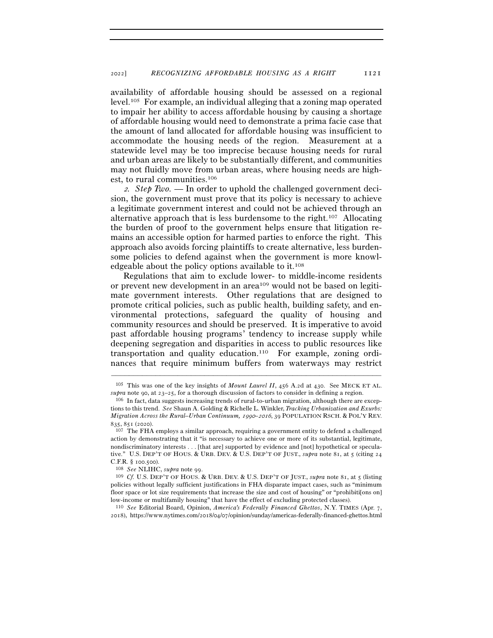availability of affordable housing should be assessed on a regional level.105 For example, an individual alleging that a zoning map operated to impair her ability to access affordable housing by causing a shortage of affordable housing would need to demonstrate a prima facie case that the amount of land allocated for affordable housing was insufficient to accommodate the housing needs of the region. Measurement at a statewide level may be too imprecise because housing needs for rural and urban areas are likely to be substantially different, and communities may not fluidly move from urban areas, where housing needs are highest, to rural communities.106

2*. Step Two.* — In order to uphold the challenged government decision, the government must prove that its policy is necessary to achieve a legitimate government interest and could not be achieved through an alternative approach that is less burdensome to the right.107 Allocating the burden of proof to the government helps ensure that litigation remains an accessible option for harmed parties to enforce the right. This approach also avoids forcing plaintiffs to create alternative, less burdensome policies to defend against when the government is more knowledgeable about the policy options available to it.108

Regulations that aim to exclude lower- to middle-income residents or prevent new development in an area109 would not be based on legitimate government interests. Other regulations that are designed to promote critical policies, such as public health, building safety, and environmental protections, safeguard the quality of housing and community resources and should be preserved. It is imperative to avoid past affordable housing programs' tendency to increase supply while deepening segregation and disparities in access to public resources like transportation and quality education.110 For example, zoning ordinances that require minimum buffers from waterways may restrict

<sup>110</sup> *See* Editorial Board, Opinion, *America's Federally Financed Ghettos*, N.Y. TIMES (Apr. 7, 2018), https://www.nytimes.com/2018/04/07/opinion/sunday/americas-federally-financed-ghettos.html

<sup>–––––––––––––––––––––––––––––––––––––––––––––––––––––––––––––</sup> <sup>105</sup> This was one of the key insights of *Mount Laurel II*, 456 A.2d at 430. See MECK ET AL. *supra* note 90, at  $23-25$ , for a thorough discussion of factors to consider in defining a region.<br><sup>106</sup> In fact, data suggests increasing trends of rural-to-urban migration, although there are excep-

tions to this trend. *See* Shaun A. Golding & Richelle L. Winkler, *Tracking Urbanization and Exurbs: Migration Across the Rural–Urban Continuum, 1990–2016, 39 POPULATION RSCH. & POL'Y REV.*<br>835, 851 (2020).

 $107$  The FHA employs a similar approach, requiring a government entity to defend a challenged action by demonstrating that it "is necessary to achieve one or more of its substantial, legitimate, nondiscriminatory interests . . . [that are] supported by evidence and [not] hypothetical or speculative." U.S. DEP'T OF HOUS. & URB. DEV. & U.S. DEP'T OF JUST., *supra* note 81, at 5 (citing 24

C.F.R. § 100.<sup>500</sup>). 108 *See* NLIHC, *supra* note <sup>99</sup>. 109 *Cf.* U.S. DEP'T OF HOUS. & URB. DEV. & U.S. DEP'T OF JUST., *supra* note 81, at 5 (listing policies without legally sufficient justifications in FHA disparate impact cases, such as "minimum floor space or lot size requirements that increase the size and cost of housing" or "prohibiti[ons on] low-income or multifamily housing" that have the effect of excluding protected classes).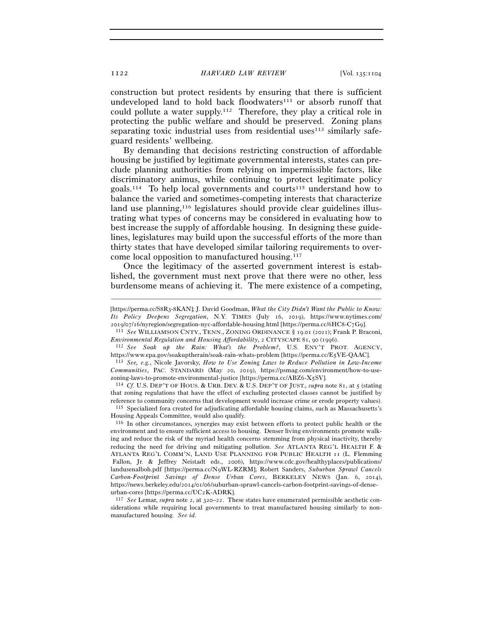construction but protect residents by ensuring that there is sufficient undeveloped land to hold back floodwaters<sup>111</sup> or absorb runoff that could pollute a water supply.112 Therefore, they play a critical role in protecting the public welfare and should be preserved. Zoning plans separating toxic industrial uses from residential uses $113$  similarly safeguard residents' wellbeing.

By demanding that decisions restricting construction of affordable housing be justified by legitimate governmental interests, states can preclude planning authorities from relying on impermissible factors, like discriminatory animus, while continuing to protect legitimate policy goals.<sup>114</sup> To help local governments and courts<sup>115</sup> understand how to balance the varied and sometimes-competing interests that characterize land use planning,<sup>116</sup> legislatures should provide clear guidelines illustrating what types of concerns may be considered in evaluating how to best increase the supply of affordable housing. In designing these guidelines, legislatures may build upon the successful efforts of the more than thirty states that have developed similar tailoring requirements to overcome local opposition to manufactured housing.117

Once the legitimacy of the asserted government interest is established, the government must next prove that there were no other, less burdensome means of achieving it. The mere existence of a competing,

–––––––––––––––––––––––––––––––––––––––––––––––––––––––––––––

<sup>2019</sup>/07/16/nyregion/segregation-nyc-affordable-housing.html [https://perma.cc/6HC8-C7G<sup>9</sup>]. 111 *See* WILLIAMSON CNTY., TENN., ZONING ORDINANCE § 19.01 (2021); Frank P. Braconi, *Environmental Regulation and Housing Affordability*, 2 CITYSCAPE <sup>81</sup>, 90 (<sup>1996</sup>). 112 *See Soak up the Rain: What's the Problem?*, U.S. ENV'T PROT. AGENCY,

that zoning regulations that have the effect of excluding protected classes cannot be justified by

reference to community concerns that development would increase crime or erode property values). 115 Specialized fora created for adjudicating affordable housing claims, such as Massachusetts's Housing Appeals Committee, would also qualify.

116 In other circumstances, synergies may exist between efforts to protect public health or the environment and to ensure sufficient access to housing. Denser living environments promote walking and reduce the risk of the myriad health concerns stemming from physical inactivity, thereby reducing the need for driving and mitigating pollution. *See* ATLANTA REG'L HEALTH F. & ATLANTA REG'L COMM'N, LAND USE PLANNING FOR PUBLIC HEALTH 11 (L. Flemming Fallon, Jr. & Jeffrey Neistadt eds., 2006), https://www.cdc.gov/healthyplaces/publications/ landusenalboh.pdf [https://perma.cc/N9WL-RZRM]; Robert Sanders, *Suburban Sprawl Cancels Carbon-Footprint Savings of Dense Urban Cores*, BERKELEY NEWS (Jan. 6, 2014), https://news.berkeley.edu/2014/01/06/suburban-sprawl-cancels-carbon-footprint-savings-of-dense-

urban-cores [https://perma.cc/UC<sup>2</sup>K-ADRK]. 117 *See* Lemar, *supra* note 2, at 320–22. These states have enumerated permissible aesthetic considerations while requiring local governments to treat manufactured housing similarly to nonmanufactured housing. *See id.*

<sup>[</sup>https://perma.cc/S8R3-8KAN]; J. David Goodman, *What the City Didn't Want the Public to Know: Its Policy Deepens Segregation*, N.Y. TIMES (July 16, 2019), https://www.nytimes.com/

https://www.epa.gov/soakuptherain/soak-rain-whats-problem [https://perma.cc/E<sup>5</sup>VE-QAAC]. 113 *See, e.g.*, Nicole Javorsky, *How to Use Zoning Laws to Reduce Pollution in Low-Income* 

*Communities*, PAC. STANDARD (May 20, 2019), https://psmag.com/environment/how-to-usezoning-laws-to-promote-environmental-justice [https://perma.cc/ABZ6-X<sup>5</sup>SV]. 114 *Cf.* U.S. DEP'T OF HOUS. & URB. DEV. & U.S. DEP'T OF JUST., *supra* note 81, at 5 (stating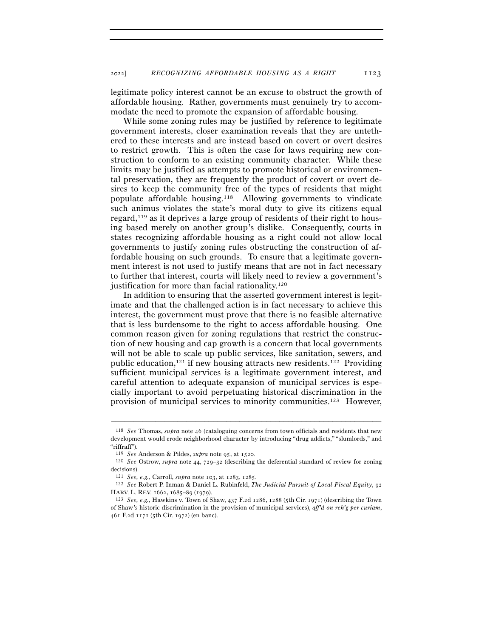legitimate policy interest cannot be an excuse to obstruct the growth of affordable housing. Rather, governments must genuinely try to accommodate the need to promote the expansion of affordable housing.

While some zoning rules may be justified by reference to legitimate government interests, closer examination reveals that they are untethered to these interests and are instead based on covert or overt desires to restrict growth. This is often the case for laws requiring new construction to conform to an existing community character. While these limits may be justified as attempts to promote historical or environmental preservation, they are frequently the product of covert or overt desires to keep the community free of the types of residents that might populate affordable housing.118 Allowing governments to vindicate such animus violates the state's moral duty to give its citizens equal regard,119 as it deprives a large group of residents of their right to housing based merely on another group's dislike. Consequently, courts in states recognizing affordable housing as a right could not allow local governments to justify zoning rules obstructing the construction of affordable housing on such grounds. To ensure that a legitimate government interest is not used to justify means that are not in fact necessary to further that interest, courts will likely need to review a government's justification for more than facial rationality.<sup>120</sup>

In addition to ensuring that the asserted government interest is legitimate and that the challenged action is in fact necessary to achieve this interest, the government must prove that there is no feasible alternative that is less burdensome to the right to access affordable housing. One common reason given for zoning regulations that restrict the construction of new housing and cap growth is a concern that local governments will not be able to scale up public services, like sanitation, sewers, and public education,<sup>121</sup> if new housing attracts new residents.<sup>122</sup> Providing sufficient municipal services is a legitimate government interest, and careful attention to adequate expansion of municipal services is especially important to avoid perpetuating historical discrimination in the provision of municipal services to minority communities.123 However,

<sup>118</sup> *See* Thomas, *supra* note 46 (cataloguing concerns from town officials and residents that new development would erode neighborhood character by introducing "drug addicts," "slumlords," and "riffraff").

<sup>119</sup> *See* Anderson & Pildes, *supra* note 95, at <sup>1520</sup>. 120 *See* Ostrow, *supra* note 44, <sup>729</sup>–32 (describing the deferential standard of review for zoning decisions).

<sup>121</sup> *See, e.g.*, Carroll, *supra* note 103, at 1283, <sup>1285</sup>. 122 *See* Robert P. Inman & Daniel L. Rubinfeld, *The Judicial Pursuit of Local Fiscal Equity*, <sup>92</sup> HARV. L. REV. 1662, 1685–89 (<sup>1979</sup>). 123 *See, e.g.*, Hawkins v. Town of Shaw, 437 F.2d 1286, 1288 (5th Cir. 1971) (describing the Town

of Shaw's historic discrimination in the provision of municipal services), *aff'd on reh'g per curiam*, 461 F.2d 1171 (5th Cir. 1972) (en banc).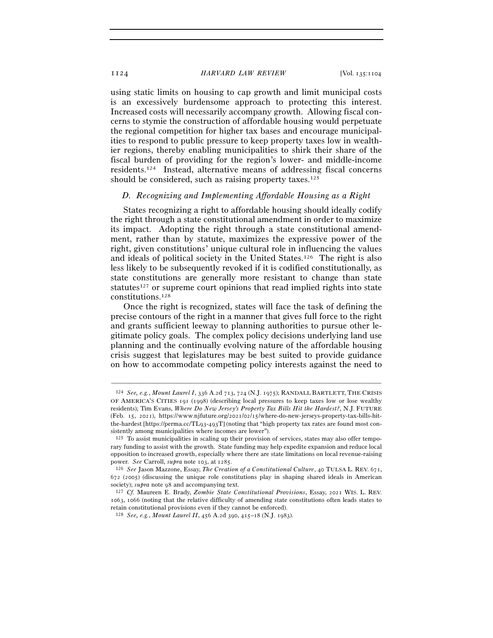using static limits on housing to cap growth and limit municipal costs is an excessively burdensome approach to protecting this interest. Increased costs will necessarily accompany growth. Allowing fiscal concerns to stymie the construction of affordable housing would perpetuate the regional competition for higher tax bases and encourage municipalities to respond to public pressure to keep property taxes low in wealthier regions, thereby enabling municipalities to shirk their share of the fiscal burden of providing for the region's lower- and middle-income residents.124 Instead, alternative means of addressing fiscal concerns should be considered, such as raising property taxes.<sup>125</sup>

## *D. Recognizing and Implementing Affordable Housing as a Right*

States recognizing a right to affordable housing should ideally codify the right through a state constitutional amendment in order to maximize its impact. Adopting the right through a state constitutional amendment, rather than by statute, maximizes the expressive power of the right, given constitutions' unique cultural role in influencing the values and ideals of political society in the United States.126 The right is also less likely to be subsequently revoked if it is codified constitutionally, as state constitutions are generally more resistant to change than state statutes<sup>127</sup> or supreme court opinions that read implied rights into state constitutions.128

Once the right is recognized, states will face the task of defining the precise contours of the right in a manner that gives full force to the right and grants sufficient leeway to planning authorities to pursue other legitimate policy goals. The complex policy decisions underlying land use planning and the continually evolving nature of the affordable housing crisis suggest that legislatures may be best suited to provide guidance on how to accommodate competing policy interests against the need to

<sup>124</sup> *See, e.g.*, *Mount Laurel I*, 336 A.2d 713, 724 (N.J. 1975); RANDALL BARTLETT, THE CRISIS OF AMERICA'S CITIES 191 (1998) (describing local pressures to keep taxes low or lose wealthy residents); Tim Evans, *Where Do New Jersey's Property Tax Bills Hit the Hardest?*, N.J. FUTURE (Feb. 15, 2021), https://www.njfuture.org/2021/02/15/where-do-new-jerseys-property-tax-bills-hitthe-hardest [https://perma.cc/TL93-493T] (noting that "high property tax rates are found most consistently among municipalities where incomes are lower").

<sup>125</sup> To assist municipalities in scaling up their provision of services, states may also offer temporary funding to assist with the growth. State funding may help expedite expansion and reduce local opposition to increased growth, especially where there are state limitations on local revenue-raising power. See Carroll,  $\text{supp}a$  note 103, at 1285.

<sup>&</sup>lt;sup>126</sup> See Jason Mazzone, Essay, *The Creation of a Constitutional Culture*, 40 TULSA L. REV. 671, 672 (2005) (discussing the unique role constitutions play in shaping shared ideals in American society); *supra* note <sup>98</sup> and accompanying text. 127 *Cf.* Maureen E. Brady, *Zombie State Constitutional Provisions*, Essay, 2021 WIS. L. REV.

<sup>1063</sup>, 1066 (noting that the relative difficulty of amending state constitutions often leads states to retain constitutional provisions even if they cannot be enforced).

<sup>128</sup> *See, e.g.*, *Mount Laurel II*, 456 A.2d 390, 415–18 (N.J. 1983).